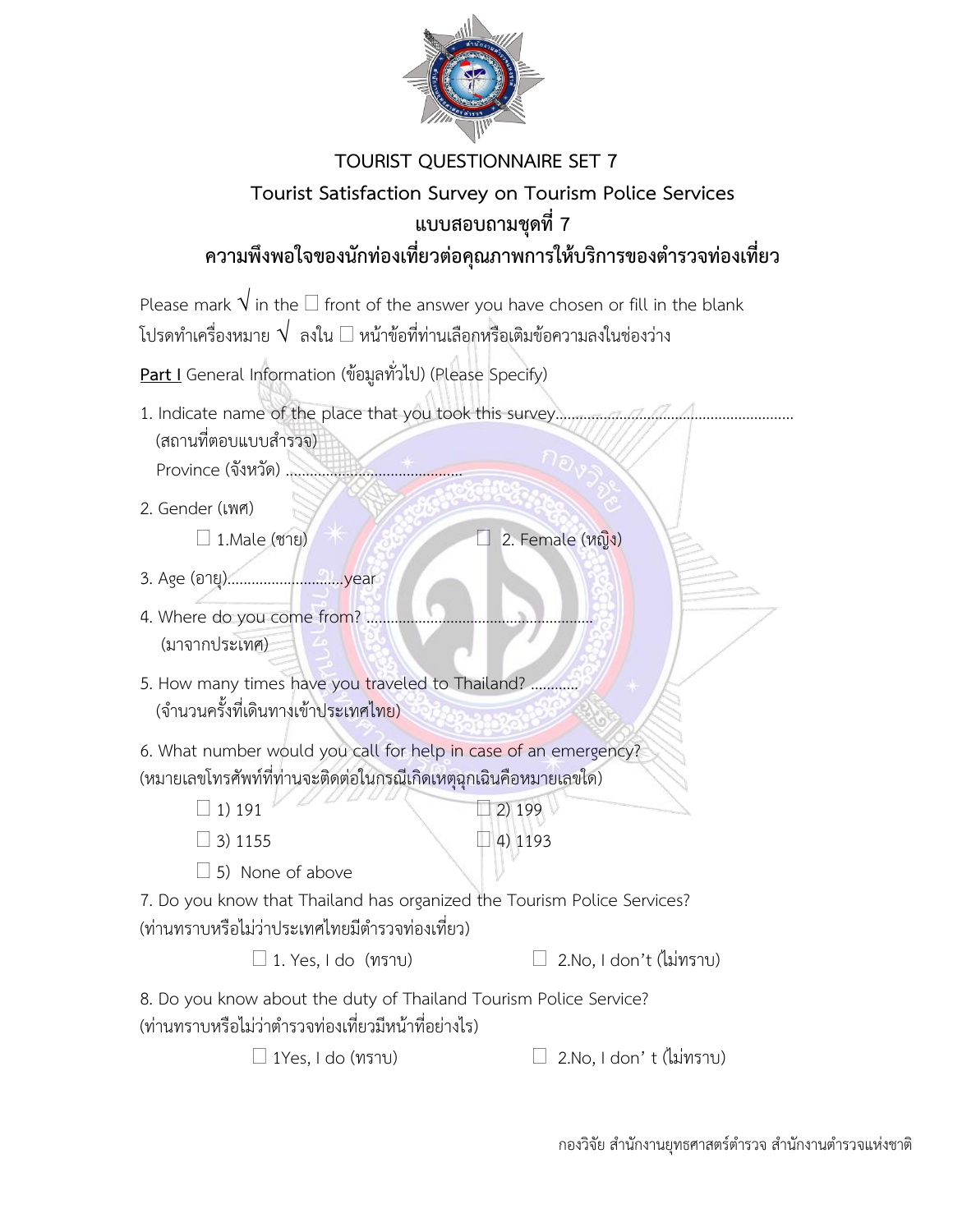

## **TOURIST QUESTIONNAIRE SET 7 Tourist Satisfaction Survey on Tourism Police Services แบบสอบถามชุดที่ 7 ความพึงพอใจของนักท่องเที่ยวต่อคุณภาพการให้บริการของต ารวจท่องเที่ยว**

Please mark  $\sqrt$  in the  $\Box$  front of the answer you have chosen or fill in the blank โปรดทำเครื่องหมาย  $\sqrt{\phantom{a}}$ ลงใน  $\Box$  หน้าข้อที่ท่านเลือกหรือเติมข้อความลงในช่องว่าง

**Part I** General Information (ข้อมูลทั่วไป) (Please Specify)

- 1. Indicate name of the place that you took this survey………………………………………………………………… (สถานที่ตอบแบบสำรวจ) Province (จังหวัด) ............................................
- 2. Gender (เพศ)
	- $\Box$  1.Male (ชาย)  $\overline{\phantom{a}}$   $\Box$  2. Female (หญิง)
- 3. Age (อำยุ).............................year
- 4. Where do you come from? ...... (มำจำกประเทศ)
- 5. How many times have you traveled to Thailand? ............. (จ ำนวนครั้งที่เดินทำงเข้ำประเทศไทย)

6. What number would you call for help in case of an emergency? (หมำยเลขโทรศัพท์ที่ท่ำนจะติดต่อในกรณีเกิดเหตุฉุกเฉินคือหมำยเลขใด)

- $1) 191 2) 199$
- $\Box$  3) 1155  $\Box$  4) 1193
- $\Box$  5) None of above

7. Do you know that Thailand has organized the Tourism Police Services? (ท่านทราบหรือไม่ว่าประเทศไทยมีตำรวจท่องเที่ยว)

 $\Box$  1. Yes, I do (ทราบ)  $\Box$  2.No, I don't (ไม่ทราบ)

8. Do you know about the duty of Thailand Tourism Police Service? (ท่านทราบหรือไม่ว่าตำรวจท่องเที่ยวมีหน้าที่อย่างไร)

 $\Box$  1Yes, I do (ทราบ)  $\Box$  2.No, I don' t (ไม่ทราบ)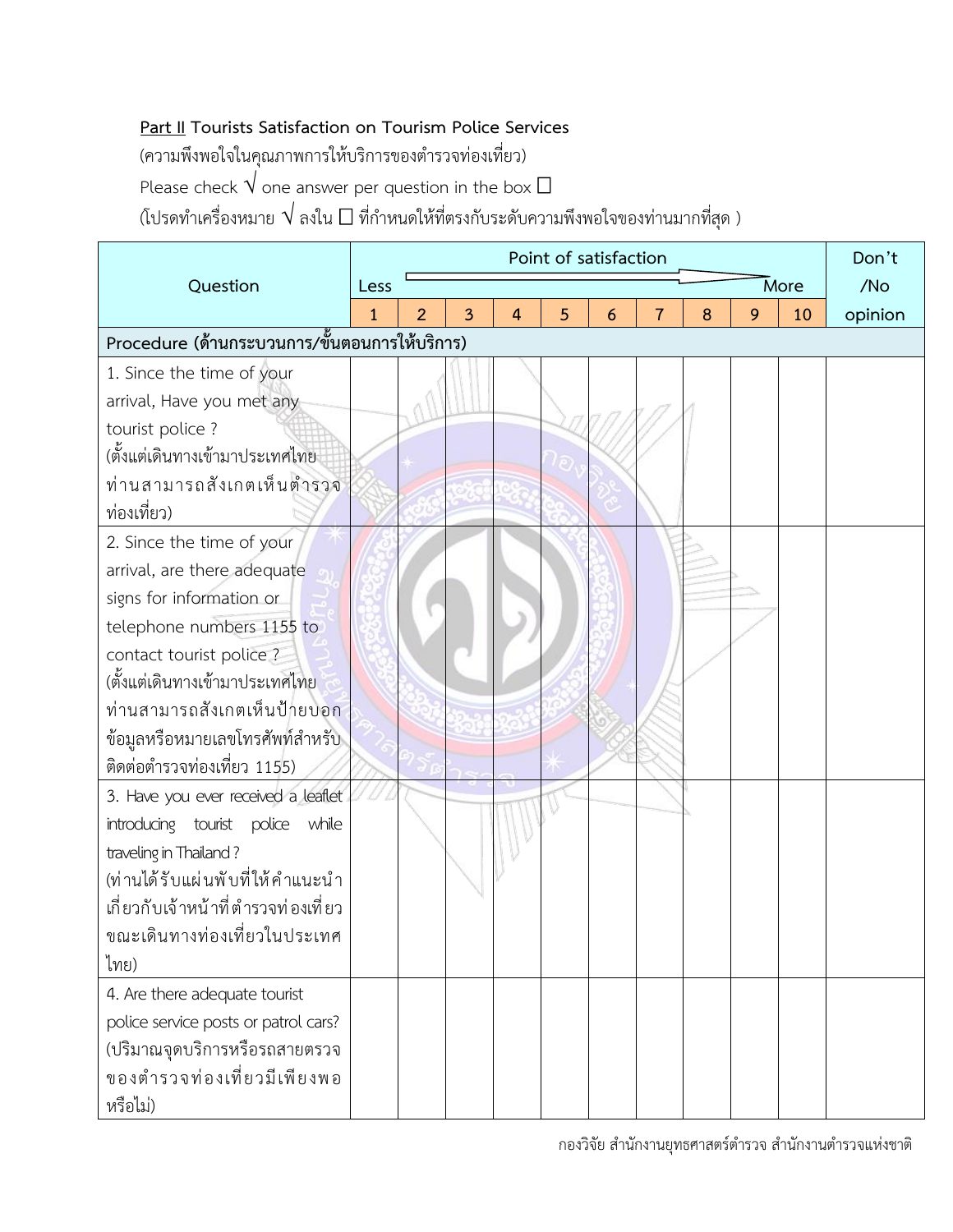## **Part II Tourists Satisfaction on Tourism Police Services**

(ความพึงพอใจในคุณภาพการให้บริการของตำรวจท่องเที่ยว)

Please check  $\overrightarrow{V}$  one answer per question in the box  $\Box$ 

 $\alpha$ (โปรดทำเครื่องหมาย  $\sqrt{\,}$ ลงใน  $\Box$  ที่กำหนดให้ที่ตรงกับระดับความพึงพอใจของท่านมากที่สุด )

|                                               | Point of satisfaction |                |   |   |   |   |   |   |   |      |         |  |
|-----------------------------------------------|-----------------------|----------------|---|---|---|---|---|---|---|------|---------|--|
| Question                                      | Less                  |                |   |   |   |   |   |   |   | More | /No     |  |
|                                               | $\mathbf{1}$          | $\overline{2}$ | 3 | 4 | 5 | 6 | 7 | 8 | 9 | 10   | opinion |  |
| Procedure (ด้านกระบวนการ/ขั้นตอนการให้บริการ) |                       |                |   |   |   |   |   |   |   |      |         |  |
| 1. Since the time of your                     |                       |                |   |   |   |   |   |   |   |      |         |  |
| arrival, Have you met any                     |                       |                |   |   |   |   |   |   |   |      |         |  |
| tourist police?                               |                       |                |   |   |   |   |   |   |   |      |         |  |
| (ตั้งแต่เดินทางเข้ามาประเทศไทย                |                       |                |   |   |   |   |   |   |   |      |         |  |
| ท่านสามารถสังเกตเห็นตำรวจ                     |                       |                |   |   |   |   |   |   |   |      |         |  |
| ท่องเที่ยว)                                   |                       |                |   |   |   |   |   |   |   |      |         |  |
| 2. Since the time of your                     |                       |                |   |   |   |   |   |   |   |      |         |  |
| arrival, are there adequate                   |                       |                |   |   |   |   |   |   |   |      |         |  |
| signs for information or                      |                       |                |   |   |   |   |   |   |   |      |         |  |
| telephone numbers 1155 to                     |                       |                |   |   |   |   |   |   |   |      |         |  |
| contact tourist police?                       |                       |                |   |   |   |   |   |   |   |      |         |  |
| (ตั้งแต่เดินทางเข้ามาประเทศไทย                |                       |                |   |   |   |   |   |   |   |      |         |  |
| ท่านสามารถสังเกตเห็นป้ายบอก                   |                       |                |   |   |   |   |   |   |   |      |         |  |
| ข้อมูลหรือหมายเลขโทรศัพท์สำหรับ               |                       |                |   |   |   |   |   |   |   |      |         |  |
| ติดต่อตำรวจท่องเที่ยว 1155)                   |                       |                |   |   |   |   |   |   |   |      |         |  |
| 3. Have you ever received a leaflet           |                       |                |   |   |   |   |   |   |   |      |         |  |
| introducing tourist police while              |                       |                |   |   |   |   |   |   |   |      |         |  |
| traveling in Thailand?                        |                       |                |   |   |   |   |   |   |   |      |         |  |
| (ท่านได้รับแผ่นพับที่ให้คำแนะนำ               |                       |                |   |   |   |   |   |   |   |      |         |  |
| เกี่ยวกับเจ้าหน้าที่ตำรวจท่องเที่ยว           |                       |                |   |   |   |   |   |   |   |      |         |  |
| ขณะเดินทางท่องเที่ยวในประเทศ                  |                       |                |   |   |   |   |   |   |   |      |         |  |
| ไทย)                                          |                       |                |   |   |   |   |   |   |   |      |         |  |
| 4. Are there adequate tourist                 |                       |                |   |   |   |   |   |   |   |      |         |  |
| police service posts or patrol cars?          |                       |                |   |   |   |   |   |   |   |      |         |  |
| (ปริมาณจุดบริการหรือรถสายตรวจ                 |                       |                |   |   |   |   |   |   |   |      |         |  |
| ของตำรวจท่องเที่ยวมีเพียงพอ                   |                       |                |   |   |   |   |   |   |   |      |         |  |
| หรือไม่)                                      |                       |                |   |   |   |   |   |   |   |      |         |  |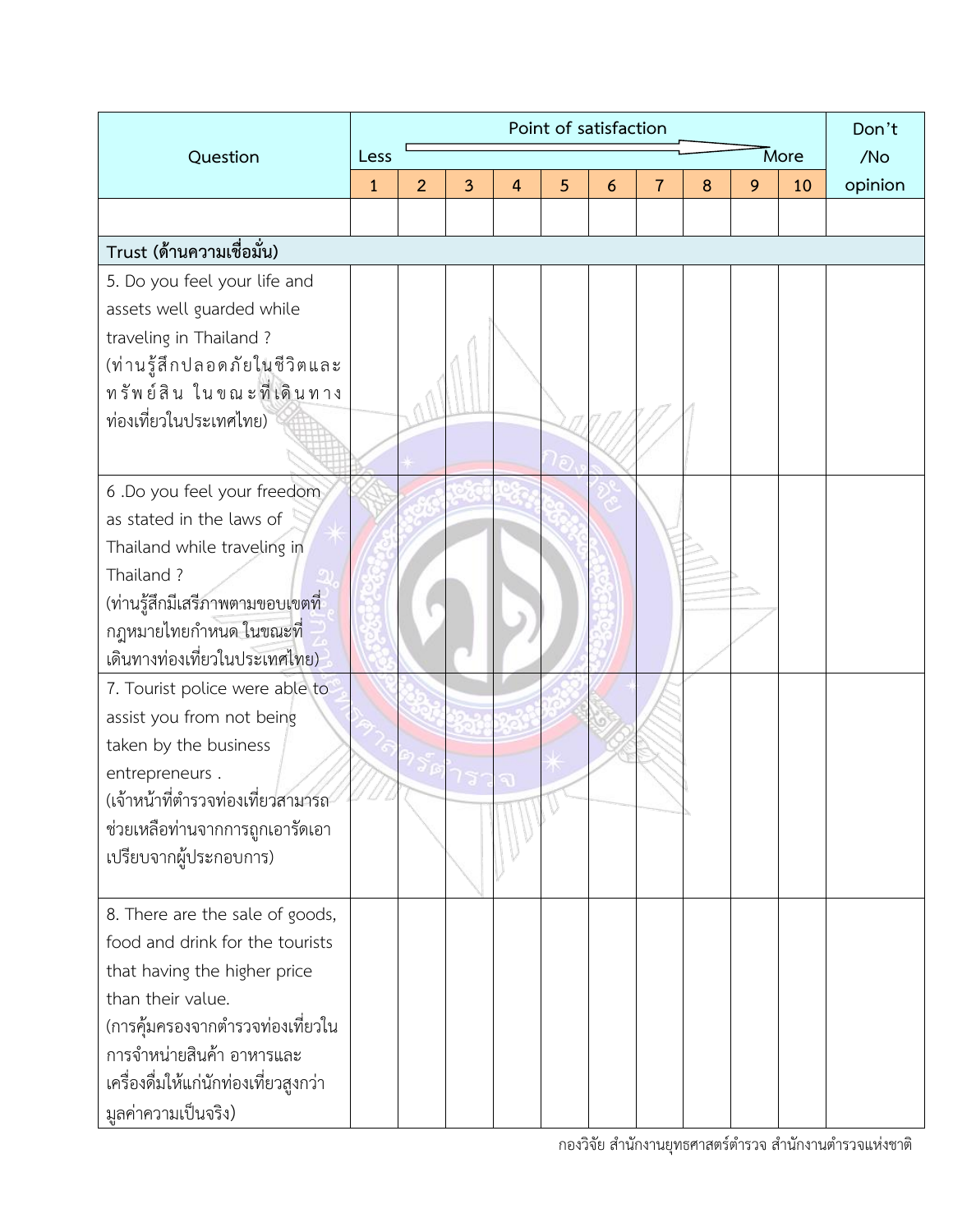|                                                                                                                                                                                                                                                          | Point of satisfaction |                |   |                |   |   |   |   |   |      |         |
|----------------------------------------------------------------------------------------------------------------------------------------------------------------------------------------------------------------------------------------------------------|-----------------------|----------------|---|----------------|---|---|---|---|---|------|---------|
| Question                                                                                                                                                                                                                                                 | Less                  |                |   |                |   |   |   |   |   | More | /No     |
|                                                                                                                                                                                                                                                          | $\mathbf{1}$          | $\overline{2}$ | 3 | $\overline{4}$ | 5 | 6 | 7 | 8 | 9 | 10   | opinion |
|                                                                                                                                                                                                                                                          |                       |                |   |                |   |   |   |   |   |      |         |
| Trust (ด้านความเชื่อมั่น)                                                                                                                                                                                                                                |                       |                |   |                |   |   |   |   |   |      |         |
| 5. Do you feel your life and<br>assets well guarded while<br>traveling in Thailand?<br>(ท่านรู้สึกปลอดภัยในชีวิตและ<br>ทรัพย์สิน ในขณะที่เดินทาง<br>ท่องเที่ยวในประเทศไทย)                                                                               |                       |                |   |                |   |   |   |   |   |      |         |
| 6 .Do you feel your freedom<br>as stated in the laws of<br>Thailand while traveling in<br>Thailand?<br>(ท่านรู้สึกมีเสรีภาพตามขอบเ <mark>ข</mark> ตที่<br>กฎหมายไทยกำหนด ในขณะที่<br><u>เดินทางท่องเที่ยวในประเทศไทย)</u>                                |                       |                |   |                |   |   |   |   |   |      |         |
| 7. Tourist police were able to<br>assist you from not being<br>taken by the business<br>entrepreneurs.<br>(เจ้าหน้าที่ตำรวจท่องเที่ยวสามารถ<br>ช่วยเหลือท่านจากการถูกเอารัดเอา<br>เปรียบจากผู้ประกอบการ)                                                 |                       |                |   |                |   |   |   |   |   |      |         |
| 8. There are the sale of goods,<br>food and drink for the tourists<br>that having the higher price<br>than their value.<br>(การคุ้มครองจากตำรวจท่องเที่ยวใน<br>การจำหน่ายสินค้า อาหารและ<br>เครื่องดื่มให้แก่นักท่องเที่ยวสูงกว่า<br>มูลค่าความเป็นจริง) |                       |                |   |                |   |   |   |   |   |      |         |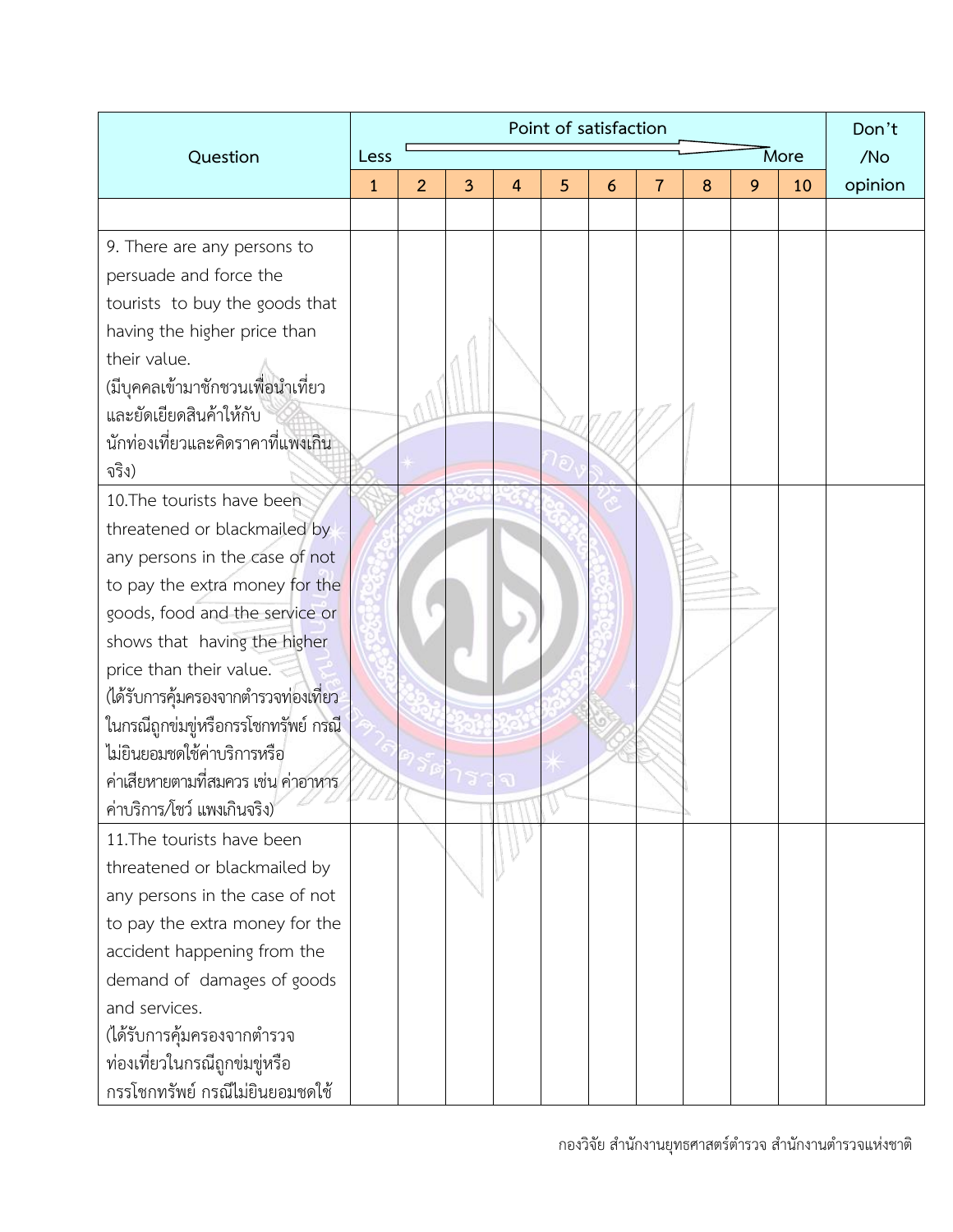|                                      |              | Don't          |   |   |   |   |                |   |   |      |         |
|--------------------------------------|--------------|----------------|---|---|---|---|----------------|---|---|------|---------|
| Question                             | Less         |                |   |   |   |   |                |   |   | More | /No     |
|                                      | $\mathbf{1}$ | $\overline{2}$ | 3 | 4 | 5 | 6 | $\overline{7}$ | 8 | 9 | 10   | opinion |
|                                      |              |                |   |   |   |   |                |   |   |      |         |
| 9. There are any persons to          |              |                |   |   |   |   |                |   |   |      |         |
| persuade and force the               |              |                |   |   |   |   |                |   |   |      |         |
| tourists to buy the goods that       |              |                |   |   |   |   |                |   |   |      |         |
| having the higher price than         |              |                |   |   |   |   |                |   |   |      |         |
| their value.                         |              |                |   |   |   |   |                |   |   |      |         |
| (มีบุคคลเข้ามาชักชวนเพื่อนำเที่ยว    |              |                |   |   |   |   |                |   |   |      |         |
| และยัดเยียดสินค้าให้กับ              |              |                |   |   |   |   |                |   |   |      |         |
| นักท่องเที่ยวและคิดราคาที่แพงเกิน    |              |                |   |   |   |   |                |   |   |      |         |
| จริง)                                |              |                |   |   |   |   |                |   |   |      |         |
| 10. The tourists have been           |              |                |   |   |   |   |                |   |   |      |         |
| threatened or blackmailed by         |              |                |   |   |   |   |                |   |   |      |         |
| any persons in the case of not       |              |                |   |   |   |   |                |   |   |      |         |
| to pay the extra money for the       |              |                |   |   |   |   |                |   |   |      |         |
| goods, food and the service or       |              |                |   |   |   |   |                |   |   |      |         |
| shows that having the higher         |              |                |   |   |   |   |                |   |   |      |         |
| price than their value.              |              |                |   |   |   |   |                |   |   |      |         |
| (ได้รับการคุ้มครองจากตำรวจท่องเที่ยว |              |                |   |   |   |   |                |   |   |      |         |
| ในกรณีถูกข่มขู่หรือกรรโชกทรัพย์ กรณี |              |                |   |   |   |   |                |   |   |      |         |
| ไม่ยินยอมชดใช้ค่าบริการหรือ          |              |                |   |   |   |   |                |   |   |      |         |
| ค่าเสียหายตามที่สมควร เช่น ค่าอาหาร  |              |                |   |   |   |   |                |   |   |      |         |
| ค่าบริการ/โชว์ แพงเกินจริง)          |              |                |   |   |   |   |                |   |   |      |         |
| 11. The tourists have been           |              |                |   |   |   |   |                |   |   |      |         |
| threatened or blackmailed by         |              |                |   |   |   |   |                |   |   |      |         |
| any persons in the case of not       |              |                |   |   |   |   |                |   |   |      |         |
| to pay the extra money for the       |              |                |   |   |   |   |                |   |   |      |         |
| accident happening from the          |              |                |   |   |   |   |                |   |   |      |         |
| demand of damages of goods           |              |                |   |   |   |   |                |   |   |      |         |
| and services.                        |              |                |   |   |   |   |                |   |   |      |         |
| (ได้รับการคุ้มครองจากตำรวจ           |              |                |   |   |   |   |                |   |   |      |         |
| ท่องเที่ยวในกรณีถูกข่มขู่หรือ        |              |                |   |   |   |   |                |   |   |      |         |
| กรรโชกทรัพย์ กรณีไม่ยินยอมชดใช้      |              |                |   |   |   |   |                |   |   |      |         |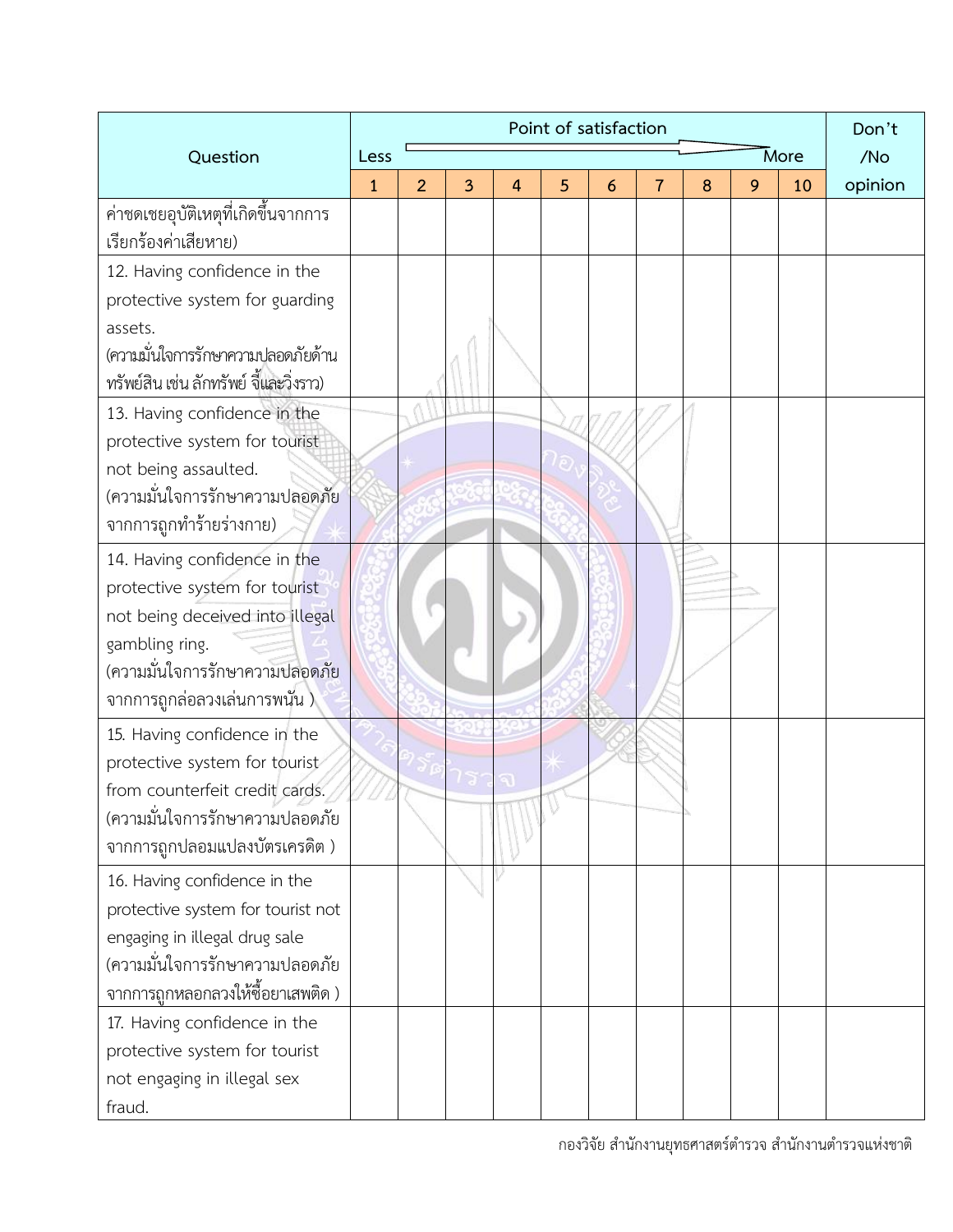|                                                             | Point of satisfaction |   |     |                |   |   |                |   |     |    |         |
|-------------------------------------------------------------|-----------------------|---|-----|----------------|---|---|----------------|---|-----|----|---------|
| Question                                                    | Less                  |   |     |                |   |   |                |   | /No |    |         |
|                                                             | $\mathbf{1}$          | 2 | 3   | $\overline{4}$ | 5 | 6 | $\overline{7}$ | 8 | 9   | 10 | opinion |
| ค่าชดเชยอุบัติเหตุที่เกิดขึ้นจากการ<br>เรียกร้องค่าเสียหาย) |                       |   |     |                |   |   |                |   |     |    |         |
| 12. Having confidence in the                                |                       |   |     |                |   |   |                |   |     |    |         |
| protective system for guarding                              |                       |   |     |                |   |   |                |   |     |    |         |
| assets.                                                     |                       |   |     |                |   |   |                |   |     |    |         |
| (ความมั่นใจการรักษาความปลอดภัยด้าน                          |                       |   |     |                |   |   |                |   |     |    |         |
| ทรัพย์สิน เช่น ลักทรัพย์ จี้และวิ่งราว)                     |                       |   |     |                |   |   |                |   |     |    |         |
| 13. Having confidence in the                                |                       |   |     |                |   |   |                |   |     |    |         |
| protective system for tourist                               |                       |   |     |                |   |   |                |   |     |    |         |
| not being assaulted.                                        |                       |   |     |                |   |   |                |   |     |    |         |
| (ความมั่นใจการรักษาความปลอดภัย                              |                       |   |     |                |   |   |                |   |     |    |         |
| จากการถูกทำร้ายร่างกาย)                                     |                       |   |     |                |   |   |                |   |     |    |         |
| 14. Having confidence in the                                |                       |   |     |                |   |   |                |   |     |    |         |
| protective system for tourist                               |                       |   |     |                |   |   |                |   |     |    |         |
| not being deceived into illegal                             |                       |   |     |                |   |   |                |   |     |    |         |
| gambling ring.                                              |                       |   |     |                |   |   |                |   |     |    |         |
| (ความมั่นใจการรักษาความปลอดภัย                              |                       |   |     |                |   |   |                |   |     |    |         |
| จากการถูกล่อลวงเล่นการพนัน )                                |                       |   |     |                |   |   |                |   |     |    |         |
| 15. Having confidence in the                                |                       |   |     |                |   |   |                |   |     |    |         |
| protective system for tourist                               |                       |   |     |                |   |   |                |   |     |    |         |
| from counterfeit credit cards.                              |                       |   | bal |                |   |   |                |   |     |    |         |
| (ความมั่นใจการรักษาความปลอดภัย                              |                       |   |     |                |   |   |                |   |     |    |         |
| จากการถูกปลอมแปลงบัตรเครดิต )                               |                       |   |     |                |   |   |                |   |     |    |         |
| 16. Having confidence in the                                |                       |   |     |                |   |   |                |   |     |    |         |
| protective system for tourist not                           |                       |   |     |                |   |   |                |   |     |    |         |
| engaging in illegal drug sale                               |                       |   |     |                |   |   |                |   |     |    |         |
| (ความมั่นใจการรักษาความปลอดภัย                              |                       |   |     |                |   |   |                |   |     |    |         |
| จากการถูกหลอกลวงให้ซื้อยาเสพติด )                           |                       |   |     |                |   |   |                |   |     |    |         |
| 17. Having confidence in the                                |                       |   |     |                |   |   |                |   |     |    |         |
| protective system for tourist                               |                       |   |     |                |   |   |                |   |     |    |         |
| not engaging in illegal sex                                 |                       |   |     |                |   |   |                |   |     |    |         |
| fraud.                                                      |                       |   |     |                |   |   |                |   |     |    |         |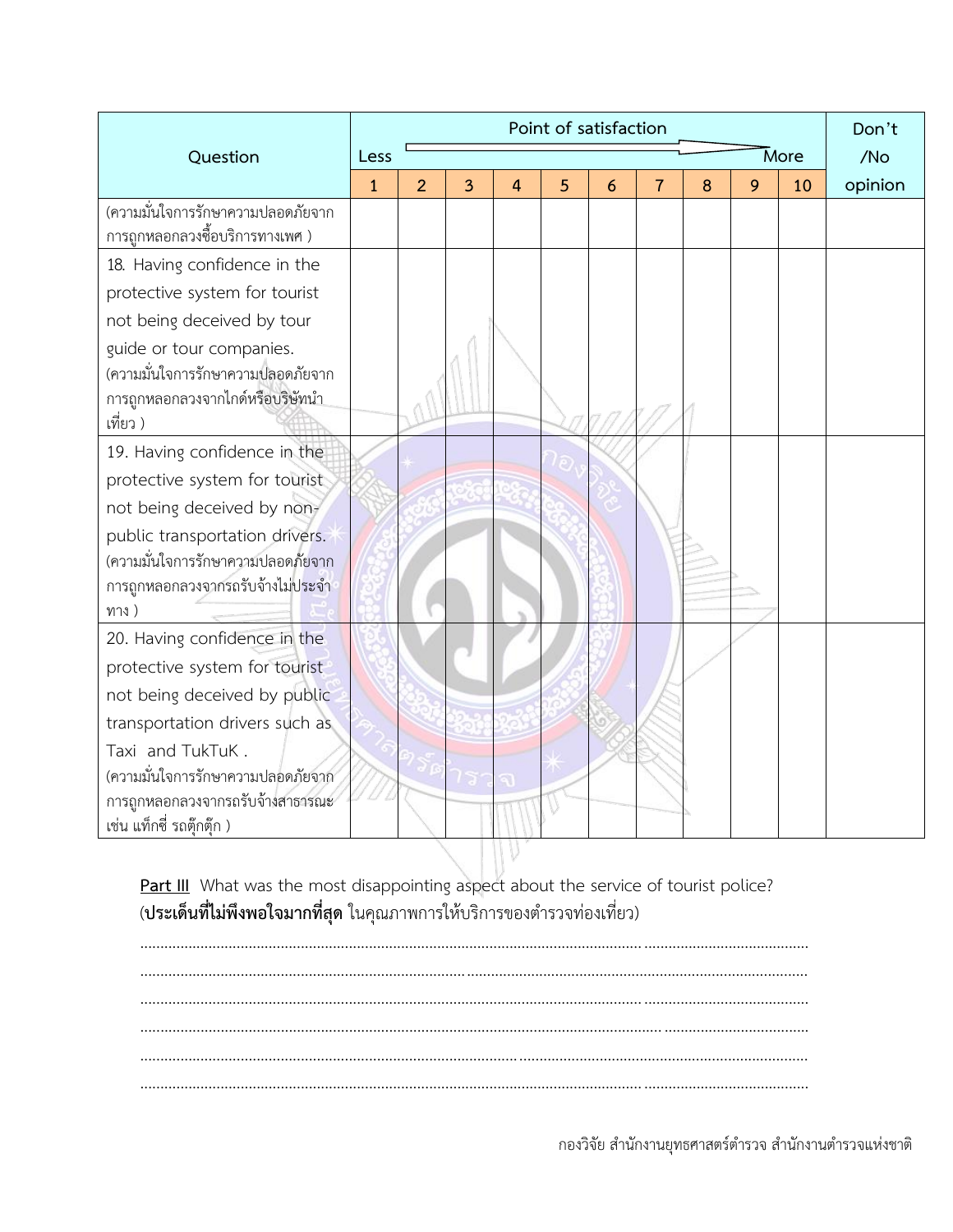|                                   |              |                | Don't  |                |   |   |                |   |   |      |         |
|-----------------------------------|--------------|----------------|--------|----------------|---|---|----------------|---|---|------|---------|
| Question                          | Less         |                |        |                |   |   |                |   |   | More | /No     |
|                                   | $\mathbf{1}$ | $\overline{2}$ | 3      | $\overline{4}$ | 5 | 6 | $\overline{7}$ | 8 | 9 | 10   | opinion |
| (ความมั่นใจการรักษาความปลอดภัยจาก |              |                |        |                |   |   |                |   |   |      |         |
| การถูกหลอกลวงซื้อบริการทางเพศ )   |              |                |        |                |   |   |                |   |   |      |         |
| 18. Having confidence in the      |              |                |        |                |   |   |                |   |   |      |         |
| protective system for tourist     |              |                |        |                |   |   |                |   |   |      |         |
| not being deceived by tour        |              |                |        |                |   |   |                |   |   |      |         |
| guide or tour companies.          |              |                |        |                |   |   |                |   |   |      |         |
| (ความมั่นใจการรักษาความปลอดภัยจาก |              |                |        |                |   |   |                |   |   |      |         |
| การถูกหลอกลวงจากไกด์หรือบริษัทนำ  |              |                |        |                |   |   |                |   |   |      |         |
| เที่ยว )                          |              |                |        |                |   |   |                |   |   |      |         |
| 19. Having confidence in the      |              |                |        |                |   |   |                |   |   |      |         |
| protective system for tourist     |              |                |        |                |   |   |                |   |   |      |         |
| not being deceived by non-        |              |                |        |                |   |   |                |   |   |      |         |
| public transportation drivers.    |              |                |        |                |   |   |                |   |   |      |         |
| (ความมั่นใจการรักษาความปลอดภัยจาก |              |                |        |                |   |   |                |   |   |      |         |
| การถูกหลอกลวงจากรถรับจ้างไม่ประจำ |              |                |        |                |   |   |                |   |   |      |         |
| ทาง)                              |              |                |        |                |   |   |                |   |   |      |         |
| 20. Having confidence in the      |              |                |        |                |   |   |                |   |   |      |         |
| protective system for tourist     |              |                |        |                |   |   |                |   |   |      |         |
| not being deceived by public      |              |                |        |                |   |   |                |   |   |      |         |
| transportation drivers such as    |              |                |        |                |   |   |                |   |   |      |         |
| Taxi and TukTuK.                  |              |                |        |                |   |   |                |   |   |      |         |
| (ความมั่นใจการรักษาความปลอดภัยจาก |              |                | $\sim$ |                |   |   |                |   |   |      |         |
| การถูกหลอกลวงจากรถรับจ้างสาธารณะ  |              |                |        |                |   |   |                |   |   |      |         |
| เช่น แท็กซี่ รถตุ๊กตุ๊ก )         |              |                |        |                |   |   |                |   |   |      |         |

Part III What was the most disappointing aspect about the service of tourist police? (**ประเด็นที่ไม่พึงพอใจมากที่สุด** ในคุณภาพการให้บริการของตำรวจท่องเที่ยว)

............................................................................................................................. ......................................... ...................................................................................................................................................................... ............................................................................................................................. ......................................... ............................................................................................................................. .........................................